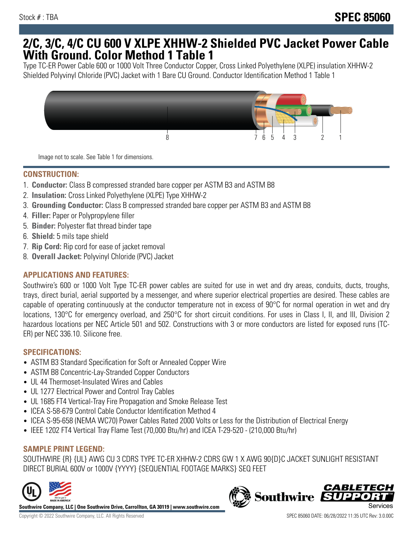## **2/C, 3/C, 4/C CU 600 V XLPE XHHW-2 Shielded PVC Jacket Power Cable With Ground. Color Method 1 Table 1**

Type TC-ER Power Cable 600 or 1000 Volt Three Conductor Copper, Cross Linked Polyethylene (XLPE) insulation XHHW-2 Shielded Polyvinyl Chloride (PVC) Jacket with 1 Bare CU Ground. Conductor Identification Method 1 Table 1



Image not to scale. See Table 1 for dimensions.

#### **CONSTRUCTION:**

- 1. **Conductor:** Class B compressed stranded bare copper per ASTM B3 and ASTM B8
- 2. **Insulation:** Cross Linked Polyethylene (XLPE) Type XHHW-2
- 3. **Grounding Conductor:** Class B compressed stranded bare copper per ASTM B3 and ASTM B8
- 4. **Filler:** Paper or Polypropylene filler
- 5. **Binder:** Polyester flat thread binder tape
- 6. **Shield:** 5 mils tape shield
- 7. **Rip Cord:** Rip cord for ease of jacket removal
- 8. **Overall Jacket:** Polyvinyl Chloride (PVC) Jacket

## **APPLICATIONS AND FEATURES:**

Southwire's 600 or 1000 Volt Type TC-ER power cables are suited for use in wet and dry areas, conduits, ducts, troughs, trays, direct burial, aerial supported by a messenger, and where superior electrical properties are desired. These cables are capable of operating continuously at the conductor temperature not in excess of 90°C for normal operation in wet and dry locations, 130°C for emergency overload, and 250°C for short circuit conditions. For uses in Class I, II, and III, Division 2 hazardous locations per NEC Article 501 and 502. Constructions with 3 or more conductors are listed for exposed runs (TC-ER) per NEC 336.10. Silicone free.

#### **SPECIFICATIONS:**

- ASTM B3 Standard Specification for Soft or Annealed Copper Wire
- ASTM B8 Concentric-Lay-Stranded Copper Conductors
- UL 44 Thermoset-Insulated Wires and Cables
- UL 1277 Electrical Power and Control Tray Cables
- UL 1685 FT4 Vertical-Tray Fire Propagation and Smoke Release Test
- ICEA S-58-679 Control Cable Conductor Identification Method 4
- ICEA S-95-658 (NEMA WC70) Power Cables Rated 2000 Volts or Less for the Distribution of Electrical Energy
- IEEE 1202 FT4 Vertical Tray Flame Test (70,000 Btu/hr) and ICEA T-29-520 (210,000 Btu/hr)

## **SAMPLE PRINT LEGEND:**

SOUTHWIRE {R} {UL} AWG CU 3 CDRS TYPE TC-ER XHHW-2 CDRS GW 1 X AWG 90{D}C JACKET SUNLIGHT RESISTANT DIRECT BURIAL 600V or 1000V {YYYY} {SEQUENTIAL FOOTAGE MARKS} SEQ FEET



**Southwire Company, LLC | One Southwire Drive, Carrollton, GA 30119 | www.southwire.com**